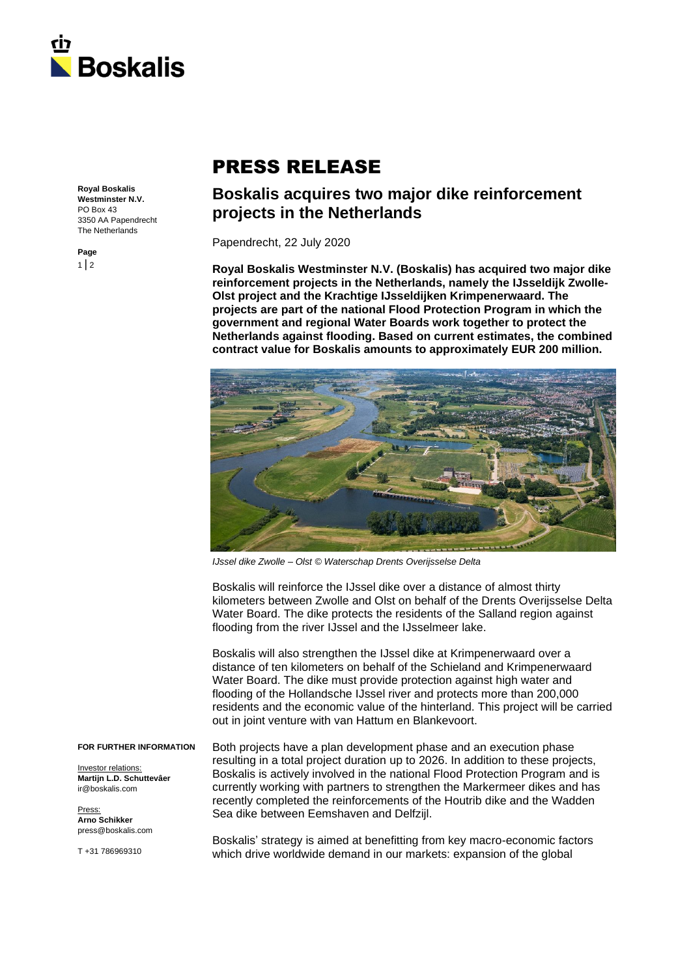

## PRESS RELEASE

**Royal Boskalis Westminster N.V.** PO Box 43 3350 AA Papendrecht The Netherlands

**Page**  $1 | 2$ 

## **Boskalis acquires two major dike reinforcement projects in the Netherlands**

Papendrecht, 22 July 2020

**Royal Boskalis Westminster N.V. (Boskalis) has acquired two major dike reinforcement projects in the Netherlands, namely the IJsseldijk Zwolle-Olst project and the Krachtige IJsseldijken Krimpenerwaard. The projects are part of the national Flood Protection Program in which the government and regional Water Boards work together to protect the Netherlands against flooding. Based on current estimates, the combined contract value for Boskalis amounts to approximately EUR 200 million.**



*IJssel dike Zwolle – Olst © Waterschap Drents Overijsselse Delta*

Boskalis will reinforce the IJssel dike over a distance of almost thirty kilometers between Zwolle and Olst on behalf of the Drents Overijsselse Delta Water Board. The dike protects the residents of the Salland region against flooding from the river IJssel and the IJsselmeer lake.

Boskalis will also strengthen the IJssel dike at Krimpenerwaard over a distance of ten kilometers on behalf of the Schieland and Krimpenerwaard Water Board. The dike must provide protection against high water and flooding of the Hollandsche IJssel river and protects more than 200,000 residents and the economic value of the hinterland. This project will be carried out in joint venture with van Hattum en Blankevoort.

Both projects have a plan development phase and an execution phase resulting in a total project duration up to 2026. In addition to these projects, Boskalis is actively involved in the national Flood Protection Program and is currently working with partners to strengthen the Markermeer dikes and has recently completed the reinforcements of the Houtrib dike and the Wadden Sea dike between Eemshaven and Delfzijl.

> Boskalis' strategy is aimed at benefitting from key macro-economic factors which drive worldwide demand in our markets: expansion of the global

**FOR FURTHER INFORMATION**

Investor relations: **Martijn L.D. Schuttevâer** ir@boskalis.com

Press: **Arno Schikker** press@boskalis.com

T +31 786969310